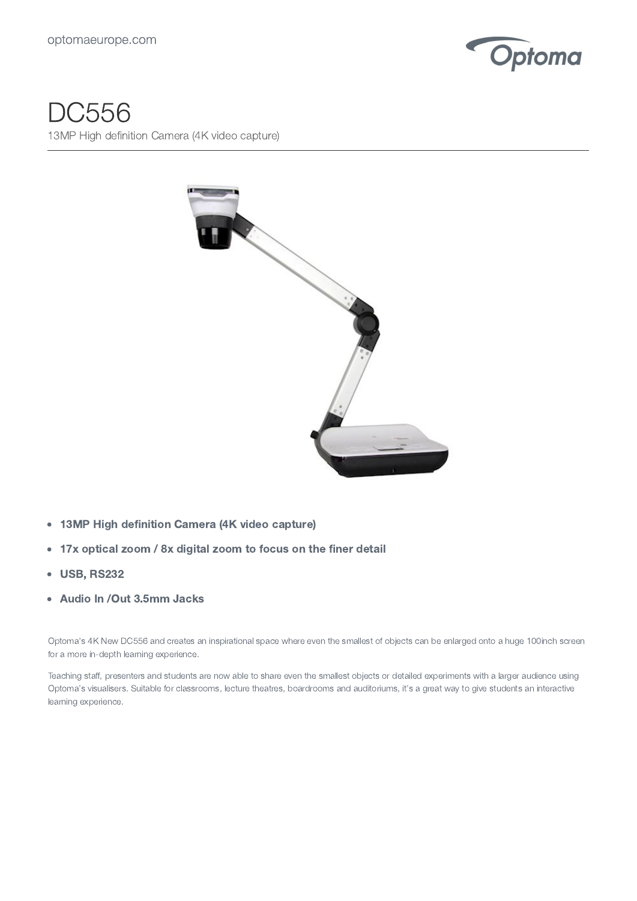

## DC556

13MP High definition Camera (4K video capture)



- 13MP High definition Camera (4K video capture)  $\bullet$
- 17x optical zoom / 8x digital zoom to focus on the finer detail  $\bullet$
- USB, RS232  $\bullet$
- Audio In /Out 3.5mm Jacks  $\bullet$

Optoma's 4K New DC556 and creates an inspirational space where even the smallest of objects can be enlarged onto a huge 100inch screen for a more in-depth learning experience.

Teaching staff, presenters and students are now able to share even the smallest objects or detailed experiments with a larger audience using Optoma's visualisers. Suitable for classrooms, lecture theatres, boardrooms and auditoriums, it's a great way to give students an interactive learning experience.